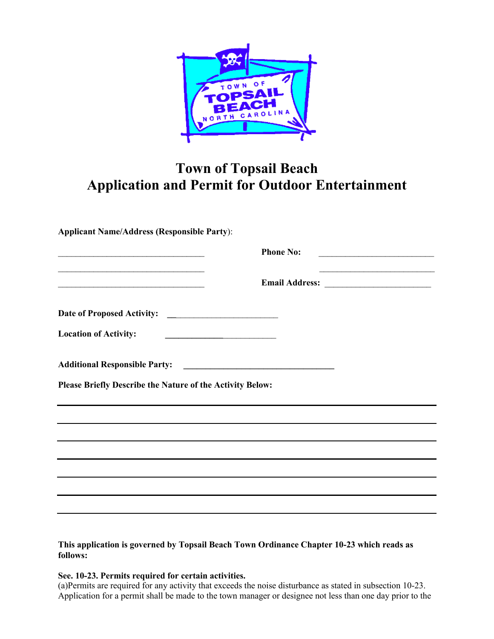

## **Town of Topsail Beach Application and Permit for Outdoor Entertainment**

**Applicant Name/Address (Responsible Party**):

| the control of the control of the control of the control of the control of the control of the control of the control of the control of the control of the control of the control of the control of the control of the control | <b>Phone No:</b> |
|-------------------------------------------------------------------------------------------------------------------------------------------------------------------------------------------------------------------------------|------------------|
|                                                                                                                                                                                                                               | Email Address:   |
|                                                                                                                                                                                                                               |                  |
| <b>Location of Activity:</b>                                                                                                                                                                                                  |                  |
|                                                                                                                                                                                                                               |                  |
| Please Briefly Describe the Nature of the Activity Below:                                                                                                                                                                     |                  |
|                                                                                                                                                                                                                               |                  |
| the control of the control of the control of the control of the control of the control of the control of the control of the control of the control of the control of the control of the control of the control of the control |                  |
| ,我们也不会有什么。""我们的人,我们也不会有什么?""我们的人,我们也不会有什么?""我们的人,我们也不会有什么?""我们的人,我们也不会有什么?""我们的人                                                                                                                                              |                  |
|                                                                                                                                                                                                                               |                  |
|                                                                                                                                                                                                                               |                  |
|                                                                                                                                                                                                                               |                  |
|                                                                                                                                                                                                                               |                  |

## **This application is governed by Topsail Beach Town Ordinance Chapter 10-23 which reads as follows:**

## **See. 10-23. Permits required for certain activities.**

(a)Permits are required for any activity that exceeds the noise disturbance as stated in subsection 10-23. Application for a permit shall be made to the town manager or designee not less than one day prior to the